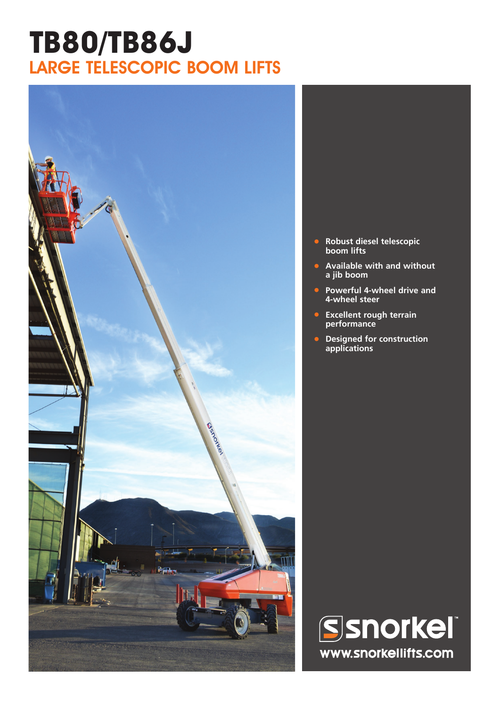## **TB80/TB86J** LARGE TELESCOPIC BOOM LIFTS



- **• Robust diesel telescopic boom lifts**
- **• Available with and without a jib boom**
- **• Powerful 4-wheel drive and 4-wheel steer**
- **• Excellent rough terrain performance**
- **• Designed for construction applications**